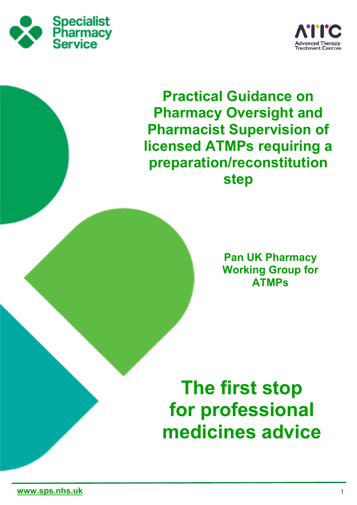



**Practical Guidance on Pharmacy Oversight and Pharmacist Supervision of licensed ATMPs requiring a preparation/reconstitution step**

> **Pan UK Pharmacy Working Group for ATMPs**

# **The first stop for professional medicines advice**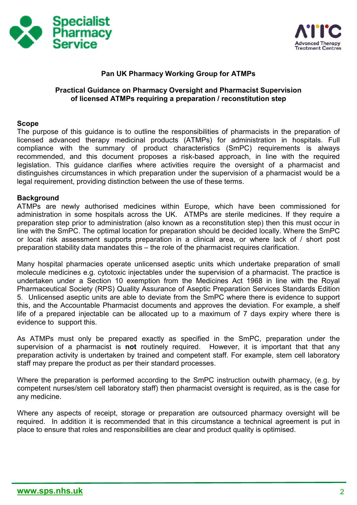



### **Pan UK Pharmacy Working Group for ATMPs**

# **Practical Guidance on Pharmacy Oversight and Pharmacist Supervision of licensed ATMPs requiring a preparation / reconstitution step**

#### **Scope**

The purpose of this guidance is to outline the responsibilities of pharmacists in the preparation of licensed advanced therapy medicinal products (ATMPs) for administration in hospitals. Full compliance with the summary of product characteristics (SmPC) requirements is always recommended, and this document proposes a risk-based approach, in line with the required legislation. This guidance clarifies where activities require the oversight of a pharmacist and distinguishes circumstances in which preparation under the supervision of a pharmacist would be a legal requirement, providing distinction between the use of these terms.

#### **Background**

ATMPs are newly authorised medicines within Europe, which have been commissioned for administration in some hospitals across the UK. ATMPs are sterile medicines. If they require a preparation step prior to administration (also known as a reconstitution step) then this must occur in line with the SmPC. The optimal location for preparation should be decided locally. Where the SmPC or local risk assessment supports preparation in a clinical area, or where lack of / short post preparation stability data mandates this – the role of the pharmacist requires clarification.

Many hospital pharmacies operate unlicensed aseptic units which undertake preparation of small molecule medicines e.g. cytotoxic injectables under the supervision of a pharmacist. The practice is undertaken under a Section 10 exemption from the Medicines Act 1968 in line with the Royal Pharmaceutical Society (RPS) Quality Assurance of Aseptic Preparation Services Standards Edition 5. Unlicensed aseptic units are able to deviate from the SmPC where there is evidence to support this, and the Accountable Pharmacist documents and approves the deviation. For example, a shelf life of a prepared injectable can be allocated up to a maximum of 7 days expiry where there is evidence to support this.

As ATMPs must only be prepared exactly as specified in the SmPC, preparation under the supervision of a pharmacist is **not** routinely required. However, it is important that that any preparation activity is undertaken by trained and competent staff. For example, stem cell laboratory staff may prepare the product as per their standard processes.

Where the preparation is performed according to the SmPC instruction outwith pharmacy, (e.g. by competent nurses/stem cell laboratory staff) then pharmacist oversight is required, as is the case for any medicine.

Where any aspects of receipt, storage or preparation are outsourced pharmacy oversight will be required. In addition it is recommended that in this circumstance a technical agreement is put in place to ensure that roles and responsibilities are clear and product quality is optimised.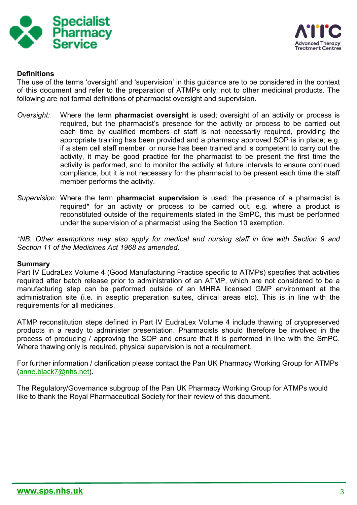



# **Definitions**

The use of the terms 'oversight' and 'supervision' in this guidance are to be considered in the context of this document and refer to the preparation of ATMPs only; not to other medicinal products. The following are not formal definitions of pharmacist oversight and supervision.

- *Oversight:* Where the term **pharmacist oversight** is used; oversight of an activity or process is required, but the pharmacist's presence for the activity or process to be carried out each time by qualified members of staff is not necessarily required, providing the appropriate training has been provided and a pharmacy approved SOP is in place; e.g. if a stem cell staff member or nurse has been trained and is competent to carry out the activity, it may be good practice for the pharmacist to be present the first time the activity is performed, and to monitor the activity at future intervals to ensure continued compliance, but it is not necessary for the pharmacist to be present each time the staff member performs the activity.
- *Supervision:* Where the term **pharmacist supervision** is used; the presence of a pharmacist is required\* for an activity or process to be carried out, e.g. where a product is reconstituted outside of the requirements stated in the SmPC, this must be performed under the supervision of a pharmacist using the Section 10 exemption.

*\*NB. Other exemptions may also apply for medical and nursing staff in line with Section 9 and Section 11 of the Medicines Act 1968 as amended*.

#### **Summary**

Part IV EudraLex Volume 4 (Good Manufacturing Practice specific to ATMPs) specifies that activities required after batch release prior to administration of an ATMP, which are not considered to be a manufacturing step can be performed outside of an MHRA licensed GMP environment at the administration site (i.e. in aseptic preparation suites, clinical areas etc). This is in line with the requirements for all medicines.

ATMP reconstitution steps defined in Part IV EudraLex Volume 4 include thawing of cryopreserved products in a ready to administer presentation. Pharmacists should therefore be involved in the process of producing / approving the SOP and ensure that it is performed in line with the SmPC. Where thawing only is required, physical supervision is not a requirement.

For further information / clarification please contact the Pan UK Pharmacy Working Group for ATMPs (anne.black7@nhs.net).

The Regulatory/Governance subgroup of the Pan UK Pharmacy Working Group for ATMPs would like to thank the Royal Pharmaceutical Society for their review of this document.